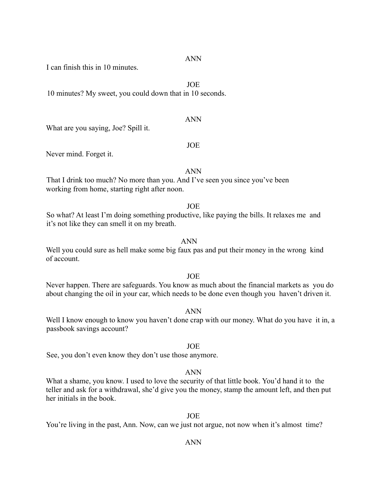ANN

I can finish this in 10 minutes.

JOE

10 minutes? My sweet, you could down that in 10 seconds.

### ANN

What are you saying, Joe? Spill it.

### JOE

Never mind. Forget it.

ANN

That I drink too much? No more than you. And I've seen you since you've been working from home, starting right after noon.

# JOE

So what? At least I'm doing something productive, like paying the bills. It relaxes me and it's not like they can smell it on my breath.

# ANN

Well you could sure as hell make some big faux pas and put their money in the wrong kind of account.

# JOE

Never happen. There are safeguards. You know as much about the financial markets as you do about changing the oil in your car, which needs to be done even though you haven't driven it.

#### ANN

Well I know enough to know you haven't done crap with our money. What do you have it in, a passbook savings account?

# JOE

See, you don't even know they don't use those anymore.

### ANN

What a shame, you know. I used to love the security of that little book. You'd hand it to the teller and ask for a withdrawal, she'd give you the money, stamp the amount left, and then put her initials in the book.

### JOE

You're living in the past, Ann. Now, can we just not argue, not now when it's almost time?

# ANN